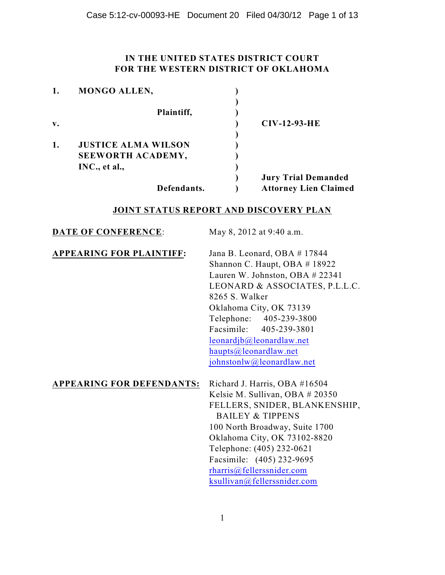### **IN THE UNITED STATES DISTRICT COURT FOR THE WESTERN DISTRICT OF OKLAHOMA**

|                | <b>MONGO ALLEN,</b>        |                              |
|----------------|----------------------------|------------------------------|
|                |                            |                              |
|                | Plaintiff,                 |                              |
| $\mathbf{v}$ . |                            | $CIV-12-93-HE$               |
|                |                            |                              |
| 1.             | <b>JUSTICE ALMA WILSON</b> |                              |
|                | SEEWORTH ACADEMY,          |                              |
|                | INC., et al.,              |                              |
|                |                            | <b>Jury Trial Demanded</b>   |
|                | Defendants.                | <b>Attorney Lien Claimed</b> |

### **JOINT STATUS REPORT AND DISCOVERY PLAN**

| <b>DATE OF CONFERENCE:</b>       | May 8, 2012 at 9:40 a.m.                                                                                                                                                                                                                                                                                                              |
|----------------------------------|---------------------------------------------------------------------------------------------------------------------------------------------------------------------------------------------------------------------------------------------------------------------------------------------------------------------------------------|
| <b>APPEARING FOR PLAINTIFF:</b>  | Jana B. Leonard, OBA #17844<br>Shannon C. Haupt, OBA #18922<br>Lauren W. Johnston, OBA # 22341<br>LEONARD & ASSOCIATES, P.L.L.C.<br>8265 S. Walker<br>Oklahoma City, OK 73139<br>Telephone: 405-239-3800<br>Facsimile: 405-239-3801<br>leonardjb@leonardlaw.net<br>haupts@leonardlaw.net<br>johnstonlw@leonardlaw.net                 |
| <b>APPEARING FOR DEFENDANTS:</b> | Richard J. Harris, OBA #16504<br>Kelsie M. Sullivan, OBA # 20350<br>FELLERS, SNIDER, BLANKENSHIP,<br><b>BAILEY &amp; TIPPENS</b><br>100 North Broadway, Suite 1700<br>Oklahoma City, OK 73102-8820<br>Telephone: (405) 232-0621<br>Facsimile: (405) 232-9695<br>$\text{rharris}(a)$ fellers snider.com<br>ksullivan@fellerssnider.com |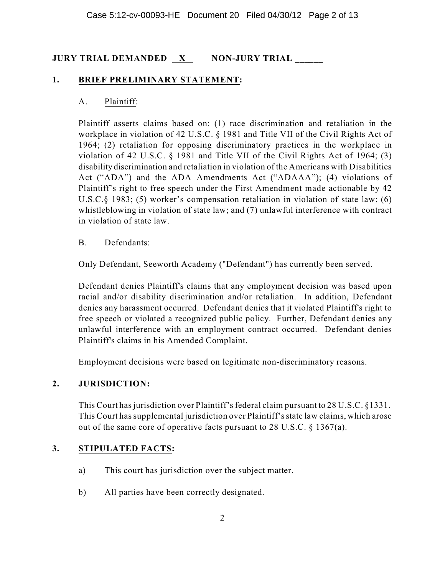# **JURY TRIAL DEMANDED X NON-JURY TRIAL \_\_\_\_\_\_**

### **1. BRIEF PRELIMINARY STATEMENT:**

#### A. Plaintiff:

Plaintiff asserts claims based on: (1) race discrimination and retaliation in the workplace in violation of 42 U.S.C. § 1981 and Title VII of the Civil Rights Act of 1964; (2) retaliation for opposing discriminatory practices in the workplace in violation of 42 U.S.C. § 1981 and Title VII of the Civil Rights Act of 1964; (3) disability discrimination and retaliation in violation of the Americans with Disabilities Act ("ADA") and the ADA Amendments Act ("ADAAA"); (4) violations of Plaintiff's right to free speech under the First Amendment made actionable by 42 U.S.C.§ 1983; (5) worker's compensation retaliation in violation of state law; (6) whistleblowing in violation of state law; and (7) unlawful interference with contract in violation of state law.

#### B. Defendants:

Only Defendant, Seeworth Academy ("Defendant") has currently been served.

Defendant denies Plaintiff's claims that any employment decision was based upon racial and/or disability discrimination and/or retaliation. In addition, Defendant denies any harassment occurred. Defendant denies that it violated Plaintiff's right to free speech or violated a recognized public policy. Further, Defendant denies any unlawful interference with an employment contract occurred. Defendant denies Plaintiff's claims in his Amended Complaint.

Employment decisions were based on legitimate non-discriminatory reasons.

### **2. JURISDICTION:**

This Court has jurisdiction over Plaintiff's federal claim pursuant to 28 U.S.C. §1331. This Court hassupplemental jurisdiction over Plaintiff'sstate law claims, which arose out of the same core of operative facts pursuant to 28 U.S.C. § 1367(a).

### **3. STIPULATED FACTS:**

- a) This court has jurisdiction over the subject matter.
- b) All parties have been correctly designated.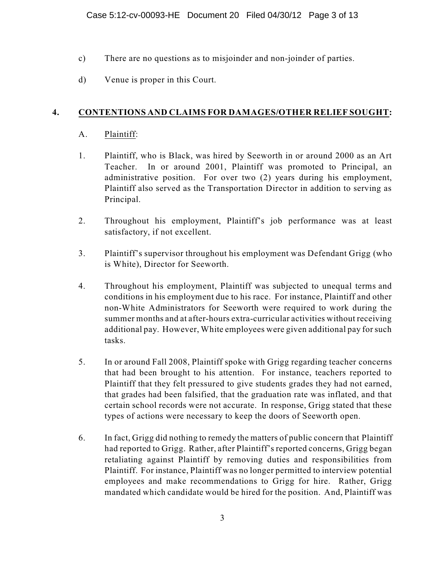- c) There are no questions as to misjoinder and non-joinder of parties.
- d) Venue is proper in this Court.

### **4. CONTENTIONS AND CLAIMS FOR DAMAGES/OTHER RELIEF SOUGHT:**

### A. Plaintiff:

- 1. Plaintiff, who is Black, was hired by Seeworth in or around 2000 as an Art Teacher. In or around 2001, Plaintiff was promoted to Principal, an administrative position. For over two (2) years during his employment, Plaintiff also served as the Transportation Director in addition to serving as Principal.
- 2. Throughout his employment, Plaintiff's job performance was at least satisfactory, if not excellent.
- 3. Plaintiff's supervisor throughout his employment was Defendant Grigg (who is White), Director for Seeworth.
- 4. Throughout his employment, Plaintiff was subjected to unequal terms and conditions in his employment due to his race. For instance, Plaintiff and other non-White Administrators for Seeworth were required to work during the summer months and at after-hours extra-curricular activities without receiving additional pay. However, White employees were given additional pay forsuch tasks.
- 5. In or around Fall 2008, Plaintiff spoke with Grigg regarding teacher concerns that had been brought to his attention. For instance, teachers reported to Plaintiff that they felt pressured to give students grades they had not earned, that grades had been falsified, that the graduation rate was inflated, and that certain school records were not accurate. In response, Grigg stated that these types of actions were necessary to keep the doors of Seeworth open.
- 6. In fact, Grigg did nothing to remedy the matters of public concern that Plaintiff had reported to Grigg. Rather, after Plaintiff's reported concerns, Grigg began retaliating against Plaintiff by removing duties and responsibilities from Plaintiff. For instance, Plaintiff was no longer permitted to interview potential employees and make recommendations to Grigg for hire. Rather, Grigg mandated which candidate would be hired for the position. And, Plaintiff was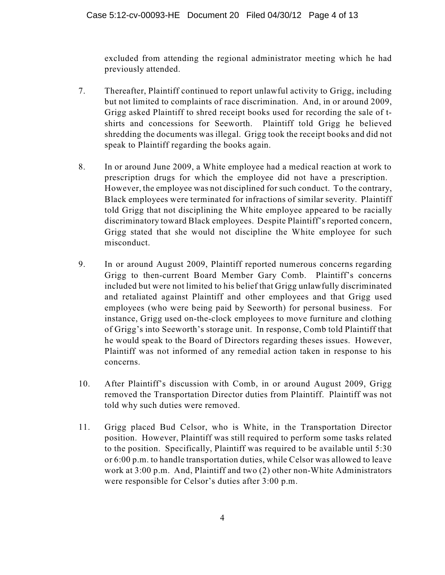excluded from attending the regional administrator meeting which he had previously attended.

- 7. Thereafter, Plaintiff continued to report unlawful activity to Grigg, including but not limited to complaints of race discrimination. And, in or around 2009, Grigg asked Plaintiff to shred receipt books used for recording the sale of tshirts and concessions for Seeworth. Plaintiff told Grigg he believed shredding the documents was illegal. Grigg took the receipt books and did not speak to Plaintiff regarding the books again.
- 8. In or around June 2009, a White employee had a medical reaction at work to prescription drugs for which the employee did not have a prescription. However, the employee was not disciplined for such conduct. To the contrary, Black employees were terminated for infractions of similar severity. Plaintiff told Grigg that not disciplining the White employee appeared to be racially discriminatory toward Black employees. Despite Plaintiff's reported concern, Grigg stated that she would not discipline the White employee for such misconduct.
- 9. In or around August 2009, Plaintiff reported numerous concerns regarding Grigg to then-current Board Member Gary Comb. Plaintiff's concerns included but were not limited to his belief that Grigg unlawfully discriminated and retaliated against Plaintiff and other employees and that Grigg used employees (who were being paid by Seeworth) for personal business. For instance, Grigg used on-the-clock employees to move furniture and clothing of Grigg's into Seeworth's storage unit. In response, Comb told Plaintiff that he would speak to the Board of Directors regarding theses issues. However, Plaintiff was not informed of any remedial action taken in response to his concerns.
- 10. After Plaintiff's discussion with Comb, in or around August 2009, Grigg removed the Transportation Director duties from Plaintiff. Plaintiff was not told why such duties were removed.
- 11. Grigg placed Bud Celsor, who is White, in the Transportation Director position. However, Plaintiff was still required to perform some tasks related to the position. Specifically, Plaintiff was required to be available until 5:30 or 6:00 p.m. to handle transportation duties, while Celsor was allowed to leave work at 3:00 p.m. And, Plaintiff and two (2) other non-White Administrators were responsible for Celsor's duties after 3:00 p.m.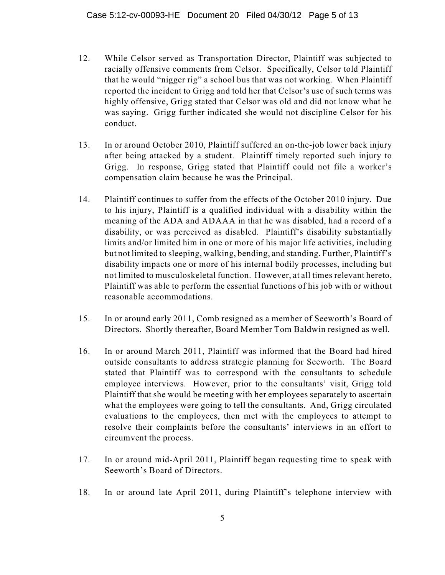- 12. While Celsor served as Transportation Director, Plaintiff was subjected to racially offensive comments from Celsor. Specifically, Celsor told Plaintiff that he would "nigger rig" a school bus that was not working. When Plaintiff reported the incident to Grigg and told her that Celsor's use of such terms was highly offensive, Grigg stated that Celsor was old and did not know what he was saying. Grigg further indicated she would not discipline Celsor for his conduct.
- 13. In or around October 2010, Plaintiff suffered an on-the-job lower back injury after being attacked by a student. Plaintiff timely reported such injury to Grigg. In response, Grigg stated that Plaintiff could not file a worker's compensation claim because he was the Principal.
- 14. Plaintiff continues to suffer from the effects of the October 2010 injury. Due to his injury, Plaintiff is a qualified individual with a disability within the meaning of the ADA and ADAAA in that he was disabled, had a record of a disability, or was perceived as disabled. Plaintiff's disability substantially limits and/or limited him in one or more of his major life activities, including but not limited to sleeping, walking, bending, and standing. Further, Plaintiff's disability impacts one or more of his internal bodily processes, including but not limited to musculoskeletal function. However, at all times relevant hereto, Plaintiff was able to perform the essential functions of his job with or without reasonable accommodations.
- 15. In or around early 2011, Comb resigned as a member of Seeworth's Board of Directors. Shortly thereafter, Board Member Tom Baldwin resigned as well.
- 16. In or around March 2011, Plaintiff was informed that the Board had hired outside consultants to address strategic planning for Seeworth. The Board stated that Plaintiff was to correspond with the consultants to schedule employee interviews. However, prior to the consultants' visit, Grigg told Plaintiff that she would be meeting with her employees separately to ascertain what the employees were going to tell the consultants. And, Grigg circulated evaluations to the employees, then met with the employees to attempt to resolve their complaints before the consultants' interviews in an effort to circumvent the process.
- 17. In or around mid-April 2011, Plaintiff began requesting time to speak with Seeworth's Board of Directors.
- 18. In or around late April 2011, during Plaintiff's telephone interview with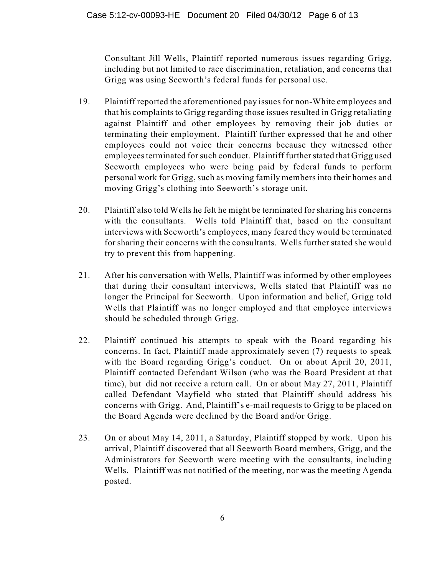Consultant Jill Wells, Plaintiff reported numerous issues regarding Grigg, including but not limited to race discrimination, retaliation, and concerns that Grigg was using Seeworth's federal funds for personal use.

- 19. Plaintiff reported the aforementioned pay issues for non-White employees and that his complaints to Grigg regarding those issues resulted in Grigg retaliating against Plaintiff and other employees by removing their job duties or terminating their employment. Plaintiff further expressed that he and other employees could not voice their concerns because they witnessed other employees terminated for such conduct. Plaintiff further stated that Grigg used Seeworth employees who were being paid by federal funds to perform personal work for Grigg, such as moving family members into their homes and moving Grigg's clothing into Seeworth's storage unit.
- 20. Plaintiff also told Wells he felt he might be terminated for sharing his concerns with the consultants. Wells told Plaintiff that, based on the consultant interviews with Seeworth's employees, many feared they would be terminated for sharing their concerns with the consultants. Wells further stated she would try to prevent this from happening.
- 21. After his conversation with Wells, Plaintiff was informed by other employees that during their consultant interviews, Wells stated that Plaintiff was no longer the Principal for Seeworth. Upon information and belief, Grigg told Wells that Plaintiff was no longer employed and that employee interviews should be scheduled through Grigg.
- 22. Plaintiff continued his attempts to speak with the Board regarding his concerns. In fact, Plaintiff made approximately seven (7) requests to speak with the Board regarding Grigg's conduct. On or about April 20, 2011, Plaintiff contacted Defendant Wilson (who was the Board President at that time), but did not receive a return call. On or about May 27, 2011, Plaintiff called Defendant Mayfield who stated that Plaintiff should address his concerns with Grigg. And, Plaintiff's e-mail requests to Grigg to be placed on the Board Agenda were declined by the Board and/or Grigg.
- 23. On or about May 14, 2011, a Saturday, Plaintiff stopped by work. Upon his arrival, Plaintiff discovered that all Seeworth Board members, Grigg, and the Administrators for Seeworth were meeting with the consultants, including Wells. Plaintiff was not notified of the meeting, nor was the meeting Agenda posted.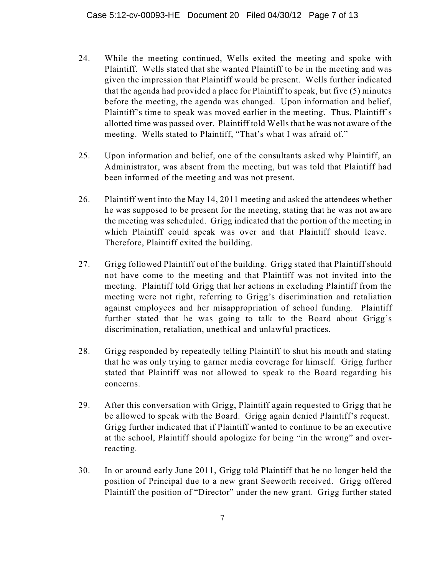- 24. While the meeting continued, Wells exited the meeting and spoke with Plaintiff. Wells stated that she wanted Plaintiff to be in the meeting and was given the impression that Plaintiff would be present. Wells further indicated that the agenda had provided a place for Plaintiff to speak, but five (5) minutes before the meeting, the agenda was changed. Upon information and belief, Plaintiff's time to speak was moved earlier in the meeting. Thus, Plaintiff's allotted time was passed over. Plaintiff told Wells that he was not aware of the meeting. Wells stated to Plaintiff, "That's what I was afraid of."
- 25. Upon information and belief, one of the consultants asked why Plaintiff, an Administrator, was absent from the meeting, but was told that Plaintiff had been informed of the meeting and was not present.
- 26. Plaintiff went into the May 14, 2011 meeting and asked the attendees whether he was supposed to be present for the meeting, stating that he was not aware the meeting was scheduled. Grigg indicated that the portion of the meeting in which Plaintiff could speak was over and that Plaintiff should leave. Therefore, Plaintiff exited the building.
- 27. Grigg followed Plaintiff out of the building. Grigg stated that Plaintiff should not have come to the meeting and that Plaintiff was not invited into the meeting. Plaintiff told Grigg that her actions in excluding Plaintiff from the meeting were not right, referring to Grigg's discrimination and retaliation against employees and her misappropriation of school funding. Plaintiff further stated that he was going to talk to the Board about Grigg's discrimination, retaliation, unethical and unlawful practices.
- 28. Grigg responded by repeatedly telling Plaintiff to shut his mouth and stating that he was only trying to garner media coverage for himself. Grigg further stated that Plaintiff was not allowed to speak to the Board regarding his concerns.
- 29. After this conversation with Grigg, Plaintiff again requested to Grigg that he be allowed to speak with the Board. Grigg again denied Plaintiff's request. Grigg further indicated that if Plaintiff wanted to continue to be an executive at the school, Plaintiff should apologize for being "in the wrong" and overreacting.
- 30. In or around early June 2011, Grigg told Plaintiff that he no longer held the position of Principal due to a new grant Seeworth received. Grigg offered Plaintiff the position of "Director" under the new grant. Grigg further stated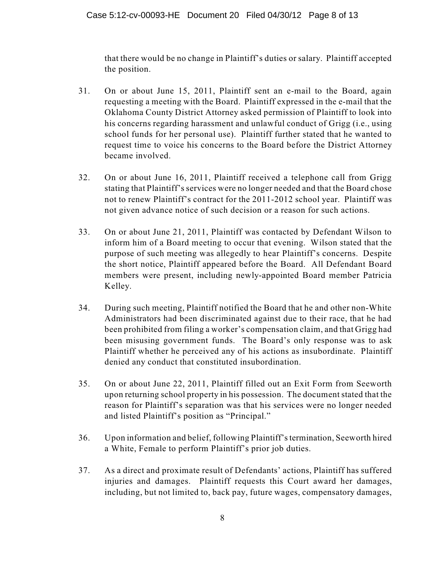that there would be no change in Plaintiff's duties or salary. Plaintiff accepted the position.

- 31. On or about June 15, 2011, Plaintiff sent an e-mail to the Board, again requesting a meeting with the Board. Plaintiff expressed in the e-mail that the Oklahoma County District Attorney asked permission of Plaintiff to look into his concerns regarding harassment and unlawful conduct of Grigg (i.e., using school funds for her personal use). Plaintiff further stated that he wanted to request time to voice his concerns to the Board before the District Attorney became involved.
- 32. On or about June 16, 2011, Plaintiff received a telephone call from Grigg stating that Plaintiff's services were no longer needed and that the Board chose not to renew Plaintiff's contract for the 2011-2012 school year. Plaintiff was not given advance notice of such decision or a reason for such actions.
- 33. On or about June 21, 2011, Plaintiff was contacted by Defendant Wilson to inform him of a Board meeting to occur that evening. Wilson stated that the purpose of such meeting was allegedly to hear Plaintiff's concerns. Despite the short notice, Plaintiff appeared before the Board. All Defendant Board members were present, including newly-appointed Board member Patricia Kelley.
- 34. During such meeting, Plaintiff notified the Board that he and other non-White Administrators had been discriminated against due to their race, that he had been prohibited from filing a worker's compensation claim, and that Grigg had been misusing government funds. The Board's only response was to ask Plaintiff whether he perceived any of his actions as insubordinate. Plaintiff denied any conduct that constituted insubordination.
- 35. On or about June 22, 2011, Plaintiff filled out an Exit Form from Seeworth upon returning school property in his possession. The document stated that the reason for Plaintiff's separation was that his services were no longer needed and listed Plaintiff's position as "Principal."
- 36. Upon information and belief, following Plaintiff'stermination, Seeworth hired a White, Female to perform Plaintiff's prior job duties.
- 37. As a direct and proximate result of Defendants' actions, Plaintiff has suffered injuries and damages. Plaintiff requests this Court award her damages, including, but not limited to, back pay, future wages, compensatory damages,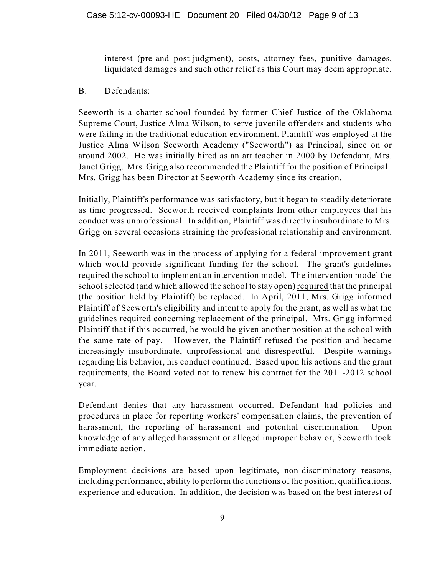interest (pre-and post-judgment), costs, attorney fees, punitive damages, liquidated damages and such other relief as this Court may deem appropriate.

#### B. Defendants:

Seeworth is a charter school founded by former Chief Justice of the Oklahoma Supreme Court, Justice Alma Wilson, to serve juvenile offenders and students who were failing in the traditional education environment. Plaintiff was employed at the Justice Alma Wilson Seeworth Academy ("Seeworth") as Principal, since on or around 2002. He was initially hired as an art teacher in 2000 by Defendant, Mrs. Janet Grigg. Mrs. Grigg also recommended the Plaintiff for the position of Principal. Mrs. Grigg has been Director at Seeworth Academy since its creation.

Initially, Plaintiff's performance was satisfactory, but it began to steadily deteriorate as time progressed. Seeworth received complaints from other employees that his conduct was unprofessional. In addition, Plaintiff was directly insubordinate to Mrs. Grigg on several occasions straining the professional relationship and environment.

In 2011, Seeworth was in the process of applying for a federal improvement grant which would provide significant funding for the school. The grant's guidelines required the school to implement an intervention model. The intervention model the school selected (and which allowed the school to stay open) required that the principal (the position held by Plaintiff) be replaced. In April, 2011, Mrs. Grigg informed Plaintiff of Seeworth's eligibility and intent to apply for the grant, as well as what the guidelines required concerning replacement of the principal. Mrs. Grigg informed Plaintiff that if this occurred, he would be given another position at the school with the same rate of pay. However, the Plaintiff refused the position and became increasingly insubordinate, unprofessional and disrespectful. Despite warnings regarding his behavior, his conduct continued. Based upon his actions and the grant requirements, the Board voted not to renew his contract for the 2011-2012 school year.

Defendant denies that any harassment occurred. Defendant had policies and procedures in place for reporting workers' compensation claims, the prevention of harassment, the reporting of harassment and potential discrimination. Upon knowledge of any alleged harassment or alleged improper behavior, Seeworth took immediate action.

Employment decisions are based upon legitimate, non-discriminatory reasons, including performance, ability to perform the functions of the position, qualifications, experience and education. In addition, the decision was based on the best interest of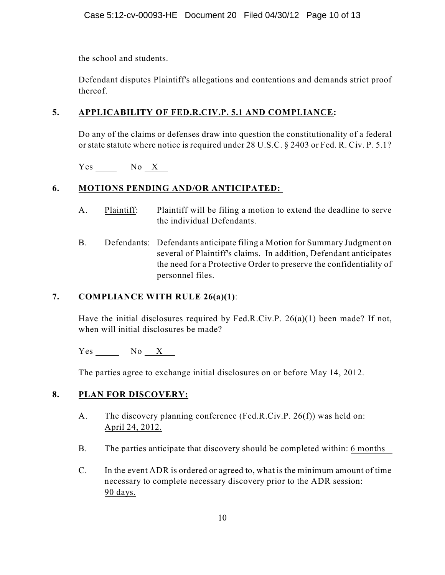the school and students.

Defendant disputes Plaintiff's allegations and contentions and demands strict proof thereof.

### **5. APPLICABILITY OF FED.R.CIV.P. 5.1 AND COMPLIANCE:**

Do any of the claims or defenses draw into question the constitutionality of a federal or state statute where notice is required under 28 U.S.C. § 2403 or Fed. R. Civ. P. 5.1?

Yes No X

# **6. MOTIONS PENDING AND/OR ANTICIPATED:**

- A. Plaintiff: Plaintiff will be filing a motion to extend the deadline to serve the individual Defendants.
- B. Defendants: Defendants anticipate filing a Motion for Summary Judgment on several of Plaintiff's claims. In addition, Defendant anticipates the need for a Protective Order to preserve the confidentiality of personnel files.

### **7. COMPLIANCE WITH RULE 26(a)(1)**:

Have the initial disclosures required by Fed.R.Civ.P. 26(a)(1) been made? If not, when will initial disclosures be made?

Yes No X

The parties agree to exchange initial disclosures on or before May 14, 2012.

### **8. PLAN FOR DISCOVERY:**

- A. The discovery planning conference (Fed.R.Civ.P. 26(f)) was held on: April 24, 2012.
- B. The parties anticipate that discovery should be completed within: 6 months
- C. In the event ADR is ordered or agreed to, what is the minimum amount of time necessary to complete necessary discovery prior to the ADR session: 90 days.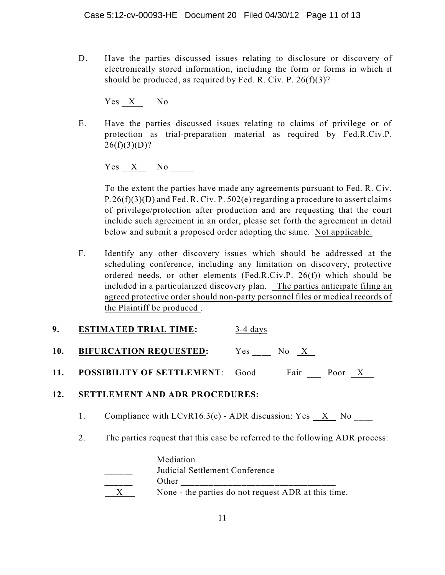D. Have the parties discussed issues relating to disclosure or discovery of electronically stored information, including the form or forms in which it should be produced, as required by Fed. R. Civ. P.  $26(f)(3)$ ?

Yes X No

E. Have the parties discussed issues relating to claims of privilege or of protection as trial-preparation material as required by Fed.R.Civ.P.  $26(f)(3)(D)?$ 

Yes X No

To the extent the parties have made any agreements pursuant to Fed. R. Civ.  $P.26(f)(3)(D)$  and Fed. R. Civ. P. 502(e) regarding a procedure to assert claims of privilege/protection after production and are requesting that the court include such agreement in an order, please set forth the agreement in detail below and submit a proposed order adopting the same. Not applicable.

- F. Identify any other discovery issues which should be addressed at the scheduling conference, including any limitation on discovery, protective ordered needs, or other elements (Fed.R.Civ.P. 26(f)) which should be included in a particularized discovery plan. The parties anticipate filing an agreed protective order should non-party personnel files or medical records of the Plaintiff be produced .
- **9. ESTIMATED TRIAL TIME:** 3-4 days
- **10. BIFURCATION REQUESTED:** Yes \_\_\_\_ No X
- 11. **POSSIBILITY OF SETTLEMENT**: Good Fair Poor X

### **12. SETTLEMENT AND ADR PROCEDURES:**

- 1. Compliance with  $LCvR16.3(c)$  ADR discussion: Yes  $X$  No
- 2. The parties request that this case be referred to the following ADR process:

| Mediation                                           |
|-----------------------------------------------------|
| Judicial Settlement Conference                      |
| Other                                               |
| None - the parties do not request ADR at this time. |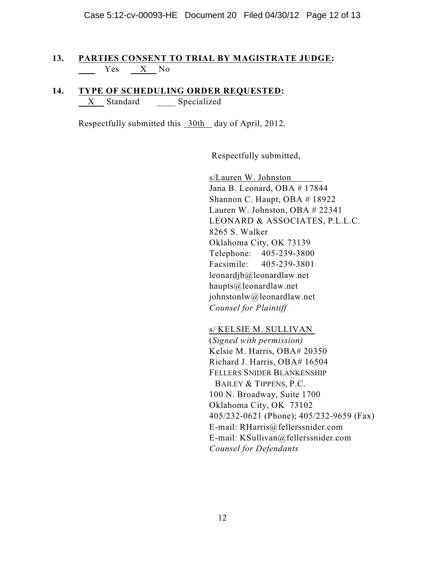### **13. PARTIES CONSENT TO TRIAL BY MAGISTRATE JUDGE:** Yes X No

#### **14. TYPE OF SCHEDULING ORDER REQUESTED:** X Standard Specialized

Respectfully submitted this 30th day of April, 2012.

Respectfully submitted,

s/Lauren W. Johnston Jana B. Leonard, OBA # 17844 Shannon C. Haupt, OBA # 18922 Lauren W. Johnston, OBA # 22341 LEONARD & ASSOCIATES, P.L.L.C. 8265 S. Walker Oklahoma City, OK 73139 Telephone: 405-239-3800 Facsimile: 405-239-3801 leonardjb@leonardlaw.net haupts@leonardlaw.net johnstonlw@leonardlaw.net *Counsel for Plaintiff*

s/ KELSIE M. SULLIVAN (*Signed with permission)* Kelsie M. Harris, OBA# 20350 Richard J. Harris, OBA# 16504 FELLERS SNIDER BLANKENSHIP BAILEY & TIPPENS, P.C. 100 N. Broadway, Suite 1700 Oklahoma City, OK 73102 405/232-0621 (Phone); 405/232-9659 (Fax) E-mail: RHarris@fellerssnider.com E-mail: KSullivan@fellerssnider.com *Counsel for Defendants*